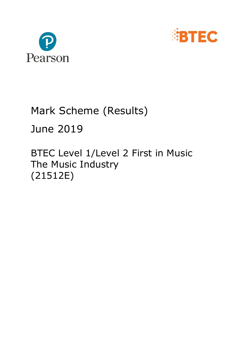



## Mark Scheme (Results)

### June 2019

BTEC Level 1/Level 2 First in Music The Music Industry (21512E)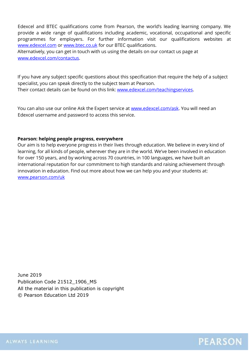Edexcel and BTEC qualifications come from Pearson, the world's leading learning company. We provide a wide range of qualifications including academic, vocational, occupational and specific programmes for employers. For further information visit our qualifications websites at [www.edexcel.com](http://www.edexcel.com/) or [www.btec.co.uk](http://www.btec.co.uk/) for our BTEC qualifications.

Alternatively, you can get in touch with us using the details on our contact us page at [www.edexcel.com/contactus.](http://www.edexcel.com/contactus)

If you have any subject specific questions about this specification that require the help of a subject specialist, you can speak directly to the subject team at Pearson. Their contact details can be found on this link: [www.edexcel.com/teachingservices.](http://www.edexcel.com/teachingservices)

You can also use our online Ask the Expert service at [www.edexcel.com/ask.](http://www.edexcel.com/ask) You will need an Edexcel username and password to access this service.

#### **Pearson: helping people progress, everywhere**

Our aim is to help everyone progress in their lives through education. We believe in every kind of learning, for all kinds of people, wherever they are in the world. We've been involved in education for over 150 years, and by working across 70 countries, in 100 languages, we have built an international reputation for our commitment to high standards and raising achievement through innovation in education. Find out more about how we can help you and your students at: [www.pearson.com/uk](http://www.pearson.com/uk)

June 2019 Publication Code 21512\_1906\_MS All the material in this publication is copyright © Pearson Education Ltd 2019

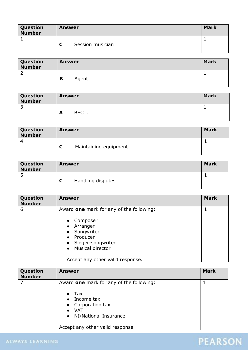| Question<br><b>Number</b> | <b>Answer</b> |                  | <b>Mark</b> |
|---------------------------|---------------|------------------|-------------|
|                           |               |                  |             |
|                           |               | Session musician |             |

| <b>Question<br/>Number</b> | <b>Answer</b> |       | <b>Mark</b> |
|----------------------------|---------------|-------|-------------|
| ∼                          |               |       |             |
|                            | В             | Agent |             |

| Question<br>Number | <b>Answer</b> |              | <b>Mark</b> |
|--------------------|---------------|--------------|-------------|
|                    |               |              |             |
|                    | А             | <b>BECTU</b> |             |

| Question<br><b>Number</b> | Answer                | <b>Mark</b> |
|---------------------------|-----------------------|-------------|
|                           |                       |             |
|                           | Maintaining equipment |             |

| Question<br><b>Number</b> | <b>Answer</b> |                   | <b>Mark</b> |
|---------------------------|---------------|-------------------|-------------|
| ت                         |               |                   |             |
|                           |               | Handling disputes |             |

| Question<br><b>Number</b> | <b>Answer</b>                                                                                                                                                                                                                                                | <b>Mark</b> |
|---------------------------|--------------------------------------------------------------------------------------------------------------------------------------------------------------------------------------------------------------------------------------------------------------|-------------|
| 6                         | Award one mark for any of the following:<br>Composer<br>$\bullet$<br>Arranger<br>$\bullet$<br>Songwriter<br>$\bullet$<br>Producer<br>$\bullet$<br>Singer-songwriter<br>$\bullet$<br><b>Musical director</b><br>$\bullet$<br>Accept any other valid response. |             |

| Question<br><b>Number</b> | <b>Answer</b>                                                                                                                                          | <b>Mark</b> |
|---------------------------|--------------------------------------------------------------------------------------------------------------------------------------------------------|-------------|
|                           | Award one mark for any of the following:<br>$\bullet$ Tax<br>Income tax<br>$\bullet$<br>• Corporation tax<br>VAT<br>NI/National Insurance<br>$\bullet$ |             |
|                           | Accept any other valid response.                                                                                                                       |             |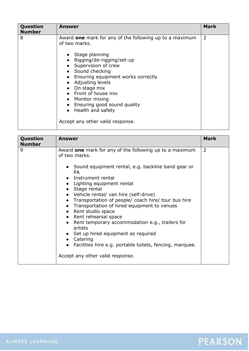| Question<br><b>Number</b> | <b>Answer</b>                                                                                                                                                                                                                                                                                                                                                                      | <b>Mark</b>    |
|---------------------------|------------------------------------------------------------------------------------------------------------------------------------------------------------------------------------------------------------------------------------------------------------------------------------------------------------------------------------------------------------------------------------|----------------|
| 8                         | Award one mark for any of the following up to a maximum<br>of two marks.<br>• Stage planning<br>Rigging/de-rigging/set-up<br>Supervision of crew<br>• Sound checking<br>Ensuring equipment works correctly<br>Adjusting levels<br>On stage mix<br>• Front of house mix<br>• Monitor mixing<br>Ensuring good sound quality<br>Health and safety<br>Accept any other valid response. | $\overline{2}$ |

| Question      | <b>Answer</b>                                                                                                                                                                                                                                                                                                                                                                                                                                                                                                                                                                                                                         | <b>Mark</b>    |
|---------------|---------------------------------------------------------------------------------------------------------------------------------------------------------------------------------------------------------------------------------------------------------------------------------------------------------------------------------------------------------------------------------------------------------------------------------------------------------------------------------------------------------------------------------------------------------------------------------------------------------------------------------------|----------------|
| <b>Number</b> |                                                                                                                                                                                                                                                                                                                                                                                                                                                                                                                                                                                                                                       |                |
| 9             | Award one mark for any of the following up to a maximum<br>of two marks.<br>• Sound equipment rental, e.g. backline band gear or<br><b>PA</b><br>• Instrument rental<br>Lighting equipment rental<br>Stage rental<br>• Vehicle rental/ van hire (self-drive)<br>• Transportation of people/ coach hire/ tour bus hire<br>• Transportation of hired equipment to venues<br>Rent studio space<br>• Rent rehearsal space<br>Rent temporary accommodation e.g., trailers for<br>artists<br>Set up hired equipment as required<br>Catering<br>Facilities hire e.g. portable toilets, fencing, marquee.<br>Accept any other valid response. | $\overline{2}$ |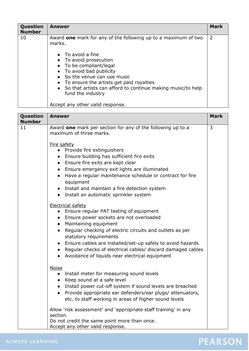| Question<br><b>Number</b> | <b>Answer</b>                                                                                                                                                                                                                                           | <b>Mark</b> |
|---------------------------|---------------------------------------------------------------------------------------------------------------------------------------------------------------------------------------------------------------------------------------------------------|-------------|
| 10                        | Award one mark for any of the following up to a maximum of two<br>marks.<br>$\bullet$ To avoid a fine<br>• To avoid prosecution                                                                                                                         | 2           |
|                           | • To be compliant/legal<br>• To avoid bad publicity<br>So the venue can use music<br>To ensure the artists get paid royalties<br>• So that artists can afford to continue making music/to help<br>fund the industry<br>Accept any other valid response. |             |

| Question<br><b>Number</b> | <b>Answer</b>                                                                                                                                                                                                                                                                                                                                                                                                                                                      | <b>Mark</b> |
|---------------------------|--------------------------------------------------------------------------------------------------------------------------------------------------------------------------------------------------------------------------------------------------------------------------------------------------------------------------------------------------------------------------------------------------------------------------------------------------------------------|-------------|
| 11                        | Award one mark per section for any of the following up to a<br>maximum of three marks.                                                                                                                                                                                                                                                                                                                                                                             | 3           |
|                           | Fire safety<br>Provide fire extinguishers<br>$\bullet$<br>Ensure building has sufficient fire exits<br>$\bullet$<br>• Ensure fire exits are kept clear<br>• Ensure emergency exit lights are illuminated<br>Have a regular maintenance schedule or contract for fire<br>$\bullet$<br>equipment<br>• Install and maintain a fire detection system<br>• Install an automatic sprinkler system                                                                        |             |
|                           | <b>Electrical safety</b><br>Ensure regular PAT testing of equipment<br>$\bullet$<br>Ensure power sockets are not overloaded<br>$\bullet$<br>• Maintaining equipment<br>Regular checking of electric circuits and outlets as per<br>statutory requirements<br>Ensure cables are installed/set-up safely to avoid hazards<br>$\bullet$<br>Regular checks of electrical cables/ discard damaged cables<br>$\bullet$<br>Avoidance of liquids near electrical equipment |             |
|                           | <b>Noise</b><br>• Install meter for measuring sound levels<br>• Keep sound at a safe level<br>Install power cut-off system if sound levels are breached<br>$\bullet$<br>Provide appropriate ear defenders/ear plugs/ attenuators,<br>$\bullet$<br>etc. to staff working in areas of higher sound levels                                                                                                                                                            |             |
|                           | Allow 'risk assessment' and 'appropriate staff training' in any<br>section.<br>Do not credit the same point more than once.<br>Accept any other valid response.                                                                                                                                                                                                                                                                                                    |             |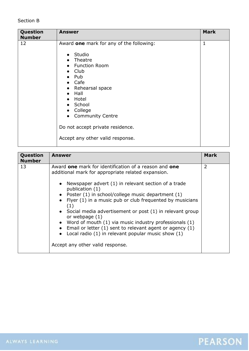#### Section B

| Question<br><b>Number</b> | <b>Answer</b>                                                                                                                                                                                                                                                                           | <b>Mark</b>  |
|---------------------------|-----------------------------------------------------------------------------------------------------------------------------------------------------------------------------------------------------------------------------------------------------------------------------------------|--------------|
| 12                        | Award one mark for any of the following:<br>Studio<br>$\bullet$<br>Theatre<br><b>Function Room</b><br>Club<br>Pub<br>Cafe<br>• Rehearsal space<br>Hall<br>Hotel<br>School<br>College<br><b>Community Centre</b><br>Do not accept private residence.<br>Accept any other valid response. | $\mathbf{1}$ |

| Question<br><b>Number</b> | <b>Answer</b>                                                                                                                                                                                                                                                                                                                                                                                                                                                                                                                                                                                                                                   | Mark           |
|---------------------------|-------------------------------------------------------------------------------------------------------------------------------------------------------------------------------------------------------------------------------------------------------------------------------------------------------------------------------------------------------------------------------------------------------------------------------------------------------------------------------------------------------------------------------------------------------------------------------------------------------------------------------------------------|----------------|
| 13                        | Award one mark for identification of a reason and one<br>additional mark for appropriate related expansion.<br>• Newspaper advert $(1)$ in relevant section of a trade<br>publication (1)<br>• Poster $(1)$ in school/college music department $(1)$<br>• Flyer $(1)$ in a music pub or club frequented by musicians<br>(1)<br>• Social media advertisement or post (1) in relevant group<br>or webpage $(1)$<br>• Word of mouth $(1)$ via music industry professionals $(1)$<br>• Email or letter $(1)$ sent to relevant agent or agency $(1)$<br>• Local radio $(1)$ in relevant popular music show $(1)$<br>Accept any other valid response. | $\overline{2}$ |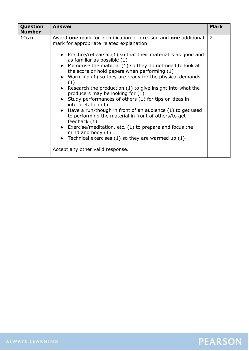| Question<br><b>Number</b> | Answer                                                                                                                                                                                                                                                                                                                                                                                                                                                                                                                                                                                                                                                                                                                                                                                                                                                                                                                       | <b>Mark</b> |
|---------------------------|------------------------------------------------------------------------------------------------------------------------------------------------------------------------------------------------------------------------------------------------------------------------------------------------------------------------------------------------------------------------------------------------------------------------------------------------------------------------------------------------------------------------------------------------------------------------------------------------------------------------------------------------------------------------------------------------------------------------------------------------------------------------------------------------------------------------------------------------------------------------------------------------------------------------------|-------------|
| 14(a)                     | Award one mark for identification of a reason and one additional<br>mark for appropriate related explanation.<br>• Practice/rehearsal $(1)$ so that their material is as good and<br>as familiar as possible (1)<br>• Memorise the material (1) so they do not need to look at<br>the score or hold papers when performing (1)<br>• Warm-up $(1)$ so they are ready for the physical demands<br>(1)<br>• Research the production (1) to give insight into what the<br>producers may be looking for (1)<br>• Study performances of others (1) for tips or ideas in<br>interpretation $(1)$<br>$\bullet$ Have a run-though in front of an audience (1) to get used<br>to performing the material in front of others/to get<br>feedback (1)<br>• Exercise/meditation, etc. $(1)$ to prepare and focus the<br>mind and body $(1)$<br>• Technical exercises $(1)$ so they are warmed up $(1)$<br>Accept any other valid response. | 2           |

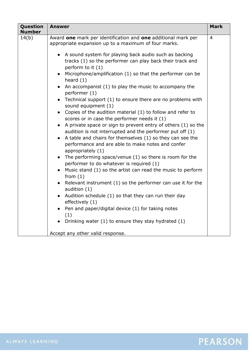| Question<br><b>Number</b> | <b>Answer</b>                                                                                                                                                                                                                                                                                                                                                                                                                                                                                                                                                                                                                                                                                                                                                                                                                                                                                                                                                                                                                                                                                                                                                                                                                                                                                                                                                                                                                                             | <b>Mark</b>    |
|---------------------------|-----------------------------------------------------------------------------------------------------------------------------------------------------------------------------------------------------------------------------------------------------------------------------------------------------------------------------------------------------------------------------------------------------------------------------------------------------------------------------------------------------------------------------------------------------------------------------------------------------------------------------------------------------------------------------------------------------------------------------------------------------------------------------------------------------------------------------------------------------------------------------------------------------------------------------------------------------------------------------------------------------------------------------------------------------------------------------------------------------------------------------------------------------------------------------------------------------------------------------------------------------------------------------------------------------------------------------------------------------------------------------------------------------------------------------------------------------------|----------------|
| 14(b)                     | Award one mark per identification and one additional mark per<br>appropriate expansion up to a maximum of four marks.<br>• A sound system for playing back audio such as backing<br>tracks (1) so the performer can play back their track and<br>perform to it (1)<br>Microphone/amplification (1) so that the performer can be<br>heard $(1)$<br>An accompanist (1) to play the music to accompany the<br>$\bullet$<br>performer (1)<br>Technical support (1) to ensure there are no problems with<br>$\bullet$<br>sound equipment (1)<br>Copies of the audition material (1) to follow and refer to<br>scores or in case the performer needs it (1)<br>A private space or sign to prevent entry of others (1) so the<br>$\bullet$<br>audition is not interrupted and the performer put off (1)<br>A table and chairs for themselves (1) so they can see the<br>performance and are able to make notes and confer<br>appropriately (1)<br>The performing space/venue (1) so there is room for the<br>$\bullet$<br>performer to do whatever is required (1)<br>Music stand (1) so the artist can read the music to perform<br>from $(1)$<br>Relevant instrument (1) so the performer can use it for the<br>audition (1)<br>Audition schedule (1) so that they can run their day<br>effectively (1)<br>Pen and paper/digital device (1) for taking notes<br>(1)<br>Drinking water (1) to ensure they stay hydrated (1)<br>Accept any other valid response. | $\overline{4}$ |
|                           |                                                                                                                                                                                                                                                                                                                                                                                                                                                                                                                                                                                                                                                                                                                                                                                                                                                                                                                                                                                                                                                                                                                                                                                                                                                                                                                                                                                                                                                           |                |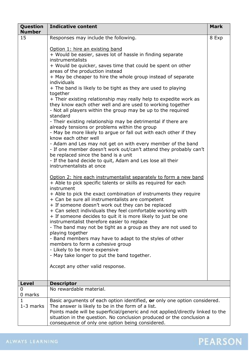| Question<br><b>Number</b> | <b>Indicative content</b>                                                                                                           | <b>Mark</b> |
|---------------------------|-------------------------------------------------------------------------------------------------------------------------------------|-------------|
| 15                        | Responses may include the following.                                                                                                | 8 Exp       |
|                           | Option 1: hire an existing band                                                                                                     |             |
|                           | + Would be easier, saves lot of hassle in finding separate                                                                          |             |
|                           | instrumentalists                                                                                                                    |             |
|                           | + Would be quicker, saves time that could be spent on other                                                                         |             |
|                           | areas of the production instead<br>+ May be cheaper to hire the whole group instead of separate                                     |             |
|                           | individuals                                                                                                                         |             |
|                           | + The band is likely to be tight as they are used to playing                                                                        |             |
|                           | together<br>+ Their existing relationship may really help to expedite work as                                                       |             |
|                           | they know each other well and are used to working together                                                                          |             |
|                           | - Not all players within the group may be up to the required                                                                        |             |
|                           | standard<br>- Their existing relationship may be detrimental if there are                                                           |             |
|                           | already tensions or problems within the group                                                                                       |             |
|                           | - May be more likely to argue or fall out with each other if they                                                                   |             |
|                           | know each other well                                                                                                                |             |
|                           | - Adam and Les may not get on with every member of the band<br>- If one member doesn't work out/can't attend they probably can't    |             |
|                           | be replaced since the band is a unit                                                                                                |             |
|                           | - If the band decide to quit, Adam and Les lose all their                                                                           |             |
|                           | instrumentalists at once                                                                                                            |             |
|                           | Option 2: hire each instrumentalist separately to form a new band                                                                   |             |
|                           | + Able to pick specific talents or skills as required for each                                                                      |             |
|                           | instrument<br>+ Able to pick the exact combination of instruments they require                                                      |             |
|                           | + Can be sure all instrumentalists are competent                                                                                    |             |
|                           | + If someone doesn't work out they can be replaced                                                                                  |             |
|                           | + Can select individuals they feel comfortable working with<br>+ If someone decides to quit it is more likely to just be one        |             |
|                           | instrumentalist therefore easier to replace                                                                                         |             |
|                           | - The band may not be tight as a group as they are not used to                                                                      |             |
|                           | playing together<br>- Band members may have to adapt to the styles of other                                                         |             |
|                           | members to form a cohesive group                                                                                                    |             |
|                           | - Likely to be more expensive                                                                                                       |             |
|                           | - May take longer to put the band together.                                                                                         |             |
|                           | Accept any other valid response.                                                                                                    |             |
|                           |                                                                                                                                     |             |
| <b>Level</b>              | <b>Descriptor</b>                                                                                                                   |             |
| 0                         | No rewardable material.                                                                                                             |             |
| 0 marks                   |                                                                                                                                     |             |
|                           | Basic arguments of each option identified, or only one option considered.                                                           |             |
| 1-3 marks                 | The answer is likely to be in the form of a list.<br>Points made will be superficial/generic and not applied/directly linked to the |             |
|                           | situation in the question. No conclusion produced or the conclusion a                                                               |             |
|                           | consequence of only one option being considered.                                                                                    |             |

### ALWAYS LEARNING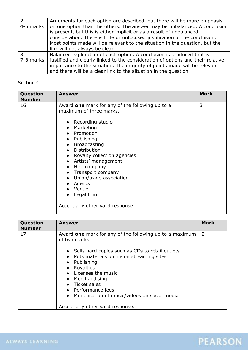|           | Arguments for each option are described, but there will be more emphasis        |
|-----------|---------------------------------------------------------------------------------|
| 4-6 marks | on one option than the others. The answer may be unbalanced. A conclusion       |
|           | is present, but this is either implicit or as a result of unbalanced            |
|           | consideration. There is little or unfocused justification of the conclusion.    |
|           | Most points made will be relevant to the situation in the question, but the     |
|           | link will not always be clear.                                                  |
| 3         | Balanced exploration of each option. A conclusion is produced that is           |
| 7-8 marks | justified and clearly linked to the consideration of options and their relative |
|           | importance to the situation. The majority of points made will be relevant       |
|           | and there will be a clear link to the situation in the question.                |

#### Section C

| Question<br><b>Number</b> | <b>Answer</b>                                                                                                                                                                                                                                                                                                                                                              | <b>Mark</b> |
|---------------------------|----------------------------------------------------------------------------------------------------------------------------------------------------------------------------------------------------------------------------------------------------------------------------------------------------------------------------------------------------------------------------|-------------|
| 16                        | Award one mark for any of the following up to a<br>maximum of three marks.<br>• Recording studio<br>Marketing<br>Promotion<br>Publishing<br><b>Broadcasting</b><br>Distribution<br>Royalty collection agencies<br>Artists' management<br>Hire company<br>Transport company<br>Union/trade association<br>Agency<br>Venue<br>Legal firm<br>Accept any other valid response. | 3           |

| Question<br><b>Number</b> | Answer                                                                                                                                                                                                                                                                                                                                                                                            | <b>Mark</b> |
|---------------------------|---------------------------------------------------------------------------------------------------------------------------------------------------------------------------------------------------------------------------------------------------------------------------------------------------------------------------------------------------------------------------------------------------|-------------|
| 17                        | Award one mark for any of the following up to a maximum<br>of two marks.<br>• Sells hard copies such as CDs to retail outlets<br>Puts materials online on streaming sites<br>Publishing<br>Royalties<br>Licenses the music<br>Merchandising<br>$\bullet$<br>• Ticket sales<br>• Performance fees<br>Monetisation of music/videos on social media<br>$\bullet$<br>Accept any other valid response. | 2           |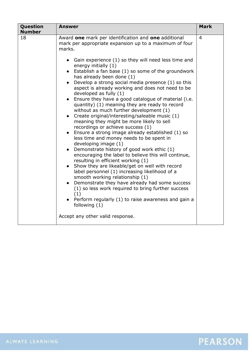| Question<br><b>Number</b> | <b>Answer</b>                                                                                                                                                                                                                                                                                                                                                                                                                                                                                                                                                                                                                                                                                                                                                                                                                                                                                                                                                                                                                                                                                                                                                                                                                                                                                                                                                              | <b>Mark</b>    |
|---------------------------|----------------------------------------------------------------------------------------------------------------------------------------------------------------------------------------------------------------------------------------------------------------------------------------------------------------------------------------------------------------------------------------------------------------------------------------------------------------------------------------------------------------------------------------------------------------------------------------------------------------------------------------------------------------------------------------------------------------------------------------------------------------------------------------------------------------------------------------------------------------------------------------------------------------------------------------------------------------------------------------------------------------------------------------------------------------------------------------------------------------------------------------------------------------------------------------------------------------------------------------------------------------------------------------------------------------------------------------------------------------------------|----------------|
| 18                        | Award one mark per identification and one additional<br>mark per appropriate expansion up to a maximum of four<br>marks.<br>• Gain experience (1) so they will need less time and<br>energy initially (1)<br>• Establish a fan base $(1)$ so some of the groundwork<br>has already been done (1)<br>Develop a strong social media presence (1) so this<br>aspect is already working and does not need to be<br>developed as fully (1)<br>• Ensure they have a good catalogue of material (i.e.<br>quantity) (1) meaning they are ready to record<br>without as much further development (1)<br>Create original/interesting/saleable music (1)<br>$\bullet$<br>meaning they might be more likely to sell<br>recordings or achieve success (1)<br>Ensure a strong image already established (1) so<br>$\bullet$<br>less time and money needs to be spent in<br>developing image (1)<br>Demonstrate history of good work ethic (1)<br>$\bullet$<br>encouraging the label to believe this will continue,<br>resulting in efficient working (1)<br>Show they are likeable/get on well with record<br>label personnel (1) increasing likelihood of a<br>smooth working relationship (1)<br>Demonstrate they have already had some success<br>(1) so less work required to bring further success<br>(1)<br>Perform regularly (1) to raise awareness and gain a<br>following $(1)$ | $\overline{4}$ |
|                           | Accept any other valid response.                                                                                                                                                                                                                                                                                                                                                                                                                                                                                                                                                                                                                                                                                                                                                                                                                                                                                                                                                                                                                                                                                                                                                                                                                                                                                                                                           |                |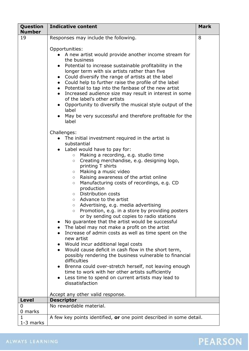| Question       | <b>Indicative content</b>                                                                                                                                                                                                                                                                                                                                                                                                                                                                                                                                                                                                                                                                                                                                                                                                                                                                                                                                                                                                                                                                                                                                                                            | <b>Mark</b> |
|----------------|------------------------------------------------------------------------------------------------------------------------------------------------------------------------------------------------------------------------------------------------------------------------------------------------------------------------------------------------------------------------------------------------------------------------------------------------------------------------------------------------------------------------------------------------------------------------------------------------------------------------------------------------------------------------------------------------------------------------------------------------------------------------------------------------------------------------------------------------------------------------------------------------------------------------------------------------------------------------------------------------------------------------------------------------------------------------------------------------------------------------------------------------------------------------------------------------------|-------------|
| <b>Number</b>  |                                                                                                                                                                                                                                                                                                                                                                                                                                                                                                                                                                                                                                                                                                                                                                                                                                                                                                                                                                                                                                                                                                                                                                                                      |             |
| 19             | Responses may include the following.<br>Opportunities:<br>A new artist would provide another income stream for<br>the business<br>Potential to increase sustainable profitability in the<br>longer term with six artists rather than five<br>Could diversify the range of artists at the label<br>$\bullet$<br>Could help to further raise the profile of the label<br>$\bullet$<br>Potential to tap into the fanbase of the new artist<br>$\bullet$<br>Increased audience size may result in interest in some<br>of the label's other artists<br>Opportunity to diversify the musical style output of the<br>$\bullet$<br>label<br>May be very successful and therefore profitable for the<br>label                                                                                                                                                                                                                                                                                                                                                                                                                                                                                                 | 8           |
|                | Challenges:<br>The initial investment required in the artist is<br>substantial<br>• Label would have to pay for:<br>Making a recording, e.g. studio time<br>$\circ$<br>Creating merchandise, e.g. designing logo,<br>$\circ$<br>printing T shirts<br>Making a music video<br>$\circ$<br>Raising awareness of the artist online<br>$\circ$<br>Manufacturing costs of recordings, e.g. CD<br>$\circ$<br>production<br>o Distribution costs<br>○ Advance to the artist<br>Advertising, e.g. media advertising<br>$\circ$<br>Promotion, e.g. in a store by providing posters<br>or by sending out copies to radio stations<br>No guarantee that the artist would be successful<br>• The label may not make a profit on the artist<br>Increase of admin costs as well as time spent on the<br>new artist<br>Would incur additional legal costs<br>Would cause deficit in cash flow in the short term,<br>possibly rendering the business vulnerable to financial<br>difficulties<br>Brenna could over-stretch herself, not leaving enough<br>time to work with her other artists sufficiently<br>Less time to spend on current artists may lead to<br>dissatisfaction<br>Accept any other valid response. |             |
| <b>Level</b>   | <b>Descriptor</b>                                                                                                                                                                                                                                                                                                                                                                                                                                                                                                                                                                                                                                                                                                                                                                                                                                                                                                                                                                                                                                                                                                                                                                                    |             |
| 0              | No rewardable material.                                                                                                                                                                                                                                                                                                                                                                                                                                                                                                                                                                                                                                                                                                                                                                                                                                                                                                                                                                                                                                                                                                                                                                              |             |
| 0 marks        |                                                                                                                                                                                                                                                                                                                                                                                                                                                                                                                                                                                                                                                                                                                                                                                                                                                                                                                                                                                                                                                                                                                                                                                                      |             |
| 1<br>1-3 marks | A few key points identified, or one point described in some detail.                                                                                                                                                                                                                                                                                                                                                                                                                                                                                                                                                                                                                                                                                                                                                                                                                                                                                                                                                                                                                                                                                                                                  |             |
|                |                                                                                                                                                                                                                                                                                                                                                                                                                                                                                                                                                                                                                                                                                                                                                                                                                                                                                                                                                                                                                                                                                                                                                                                                      |             |